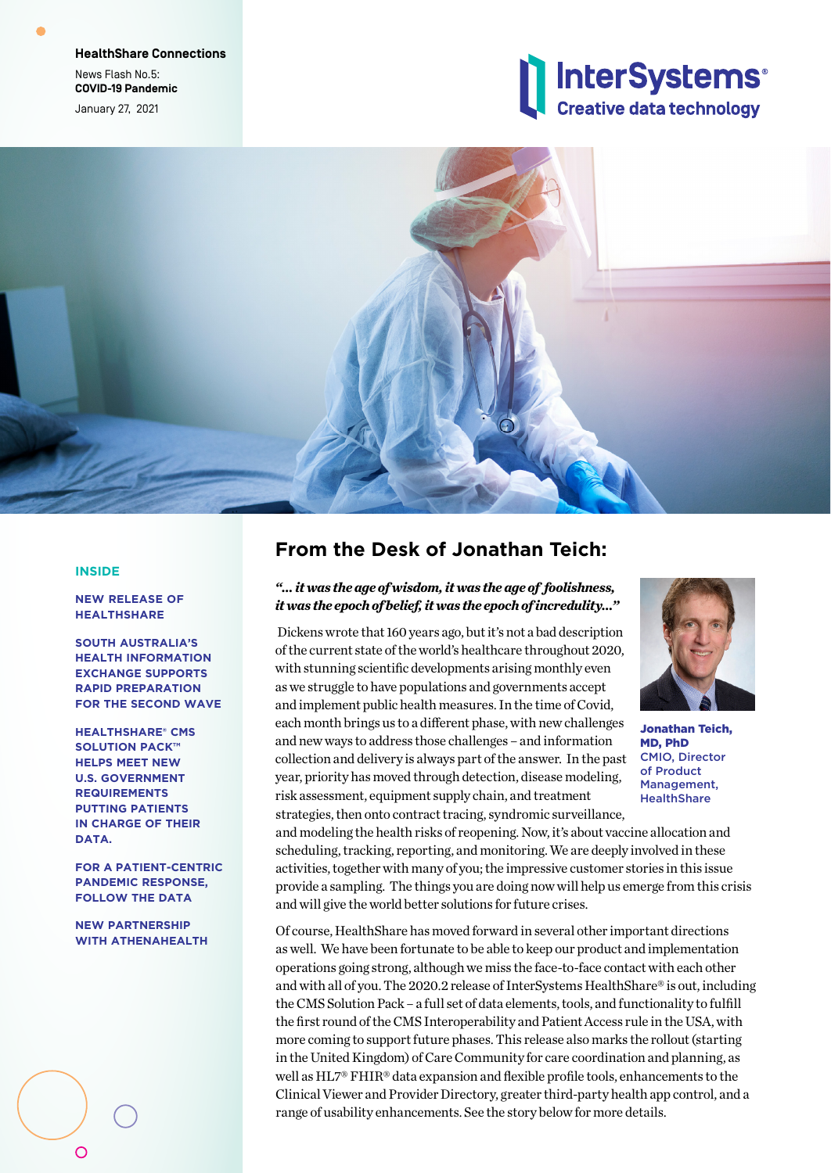**HealthShare Connections** News Flash No.5: **COVID-19 Pandemic** January 27, 2021





#### **INSIDE**

**NEW RELEASE OF HEALTHSHARE**

**SOUTH AUSTRALIA'S HEALTH INFORMATION EXCHANGE SUPPORTS RAPID PREPARATION FOR THE SECOND WAVE**

**HEALTHSHARE® CMS SOLUTION PACK™ HELPS MEET NEW U.S. GOVERNMENT REQUIREMENTS PUTTING PATIENTS IN CHARGE OF THEIR DATA.**

**FOR A PATIENT-CENTRIC PANDEMIC RESPONSE, FOLLOW THE DATA**

**NEW PARTNERSHIP WITH ATHENAHEALTH**

 $\circ$ 

## **From the Desk of Jonathan Teich:**

### *"… it was the age of wisdom, it was the age of foolishness, it was the epoch of belief, it was the epoch of incredulity…"*

 Dickens wrote that 160 years ago, but it's not a bad description of the current state of the world's healthcare throughout 2020, with stunning scientific developments arising monthly even as we struggle to have populations and governments accept and implement public health measures. In the time of Covid, each month brings us to a different phase, with new challenges and new ways to address those challenges – and information collection and delivery is always part of the answer. In the past year, priority has moved through detection, disease modeling, risk assessment, equipment supply chain, and treatment strategies, then onto contract tracing, syndromic surveillance,



Jonathan Teich, MD, PhD CMIO, Director of Product Management, **HealthShare** 

and modeling the health risks of reopening. Now, it's about vaccine allocation and scheduling, tracking, reporting, and monitoring. We are deeply involved in these activities, together with many of you; the impressive customer stories in this issue provide a sampling. The things you are doing now will help us emerge from this crisis and will give the world better solutions for future crises.

Of course, HealthShare has moved forward in several other important directions as well. We have been fortunate to be able to keep our product and implementation operations going strong, although we miss the face-to-face contact with each other and with all of you. The 2020.2 release of InterSystems HealthShare® is out, including the CMS Solution Pack – a full set of data elements, tools, and functionality to fulfill the first round of the CMS Interoperability and Patient Access rule in the USA, with more coming to support future phases. This release also marks the rollout (starting in the United Kingdom) of Care Community for care coordination and planning, as well as HL7® FHIR® data expansion and flexible profile tools, enhancements to the Clinical Viewer and Provider Directory, greater third-party health app control, and a range of usability enhancements. See the story below for more details.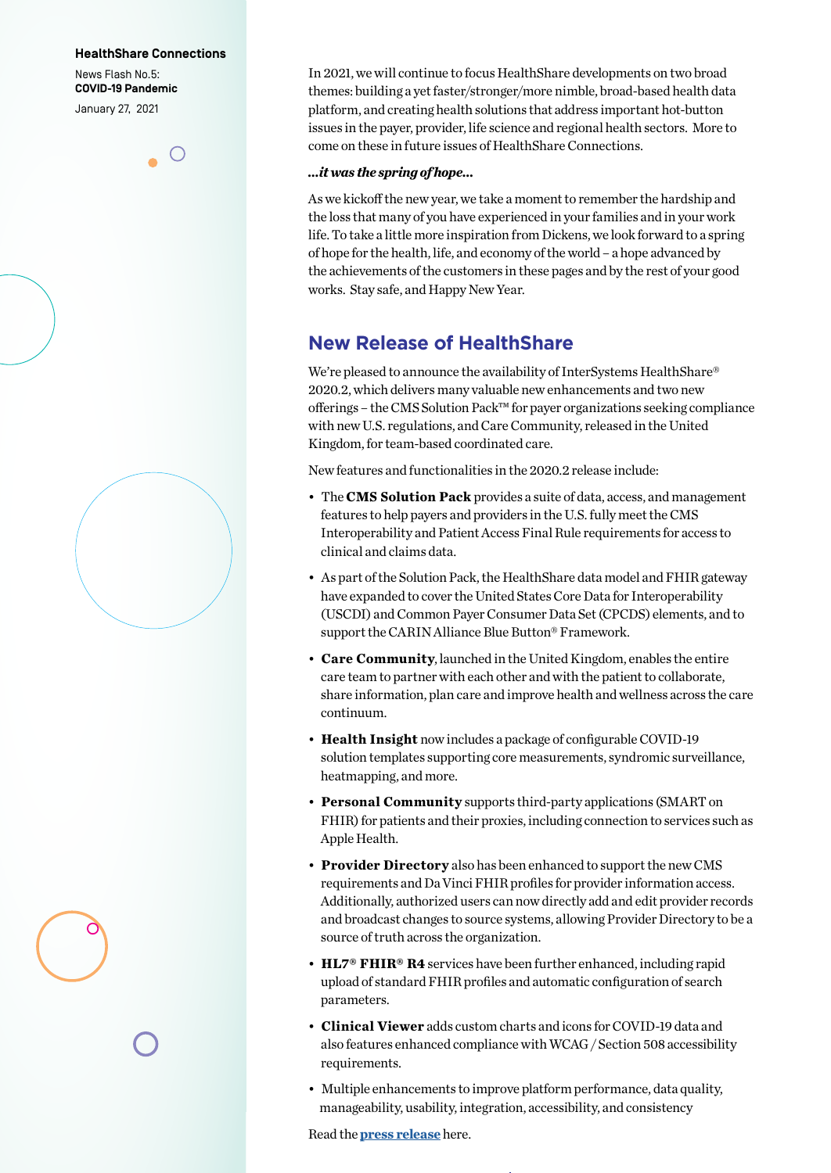#### **HealthShare Connections**

News Flash No.5: **COVID-19 Pandemic** January 27, 2021

In 2021, we will continue to focus HealthShare developments on two broad themes: building a yet faster/stronger/more nimble, broad-based health data platform, and creating health solutions that address important hot-button issues in the payer, provider, life science and regional health sectors. More to come on these in future issues of HealthShare Connections.

### *…it was the spring of hope…*

As we kickoff the new year, we take a moment to remember the hardship and the loss that many of you have experienced in your families and in your work life. To take a little more inspiration from Dickens, we look forward to a spring of hope for the health, life, and economy of the world – a hope advanced by the achievements of the customers in these pages and by the rest of your good works. Stay safe, and Happy New Year.

## **New Release of HealthShare**

We're pleased to announce the availability of InterSystems HealthShare® 2020.2, which delivers many valuable new enhancements and two new offerings – the CMS Solution Pack™ for payer organizations seeking compliance with new U.S. regulations, and Care Community, released in the United Kingdom, for team-based coordinated care.

New features and functionalities in the 2020.2 release include:

- The **CMS Solution Pack** provides a suite of data, access, and management features to help payers and providers in the U.S. fully meet the CMS Interoperability and Patient Access Final Rule requirements for access to clinical and claims data.
- As part of the Solution Pack, the HealthShare data model and FHIR gateway have expanded to cover the United States Core Data for Interoperability (USCDI) and Common Payer Consumer Data Set (CPCDS) elements, and to support the CARIN Alliance Blue Button® Framework.
- **Care Community**, launched in the United Kingdom, enables the entire care team to partner with each other and with the patient to collaborate, share information, plan care and improve health and wellness across the care continuum.
- **Health Insight** now includes a package of configurable COVID-19 solution templates supporting core measurements, syndromic surveillance, heatmapping, and more.
- **Personal Community** supports third-party applications (SMART on FHIR) for patients and their proxies, including connection to services such as Apple Health.
- **Provider Directory** also has been enhanced to support the new CMS requirements and Da Vinci FHIR profiles for provider information access. Additionally, authorized users can now directly add and edit provider records and broadcast changes to source systems, allowing Provider Directory to be a source of truth across the organization.
- **HL7® FHIR® R4** services have been further enhanced, including rapid upload of standard FHIR profiles and automatic configuration of search parameters.
- **Clinical Viewer** adds custom charts and icons for COVID-19 data and also features enhanced compliance with WCAG / Section 508 accessibility requirements.
- Multiple enhancements to improve platform performance, data quality, manageability, usability, integration, accessibility, and consistency

Read the **[press release](https://www.intersystems.com/news-events/news/news-item/intersystems-releases-healthshare-2020-2/ )** here.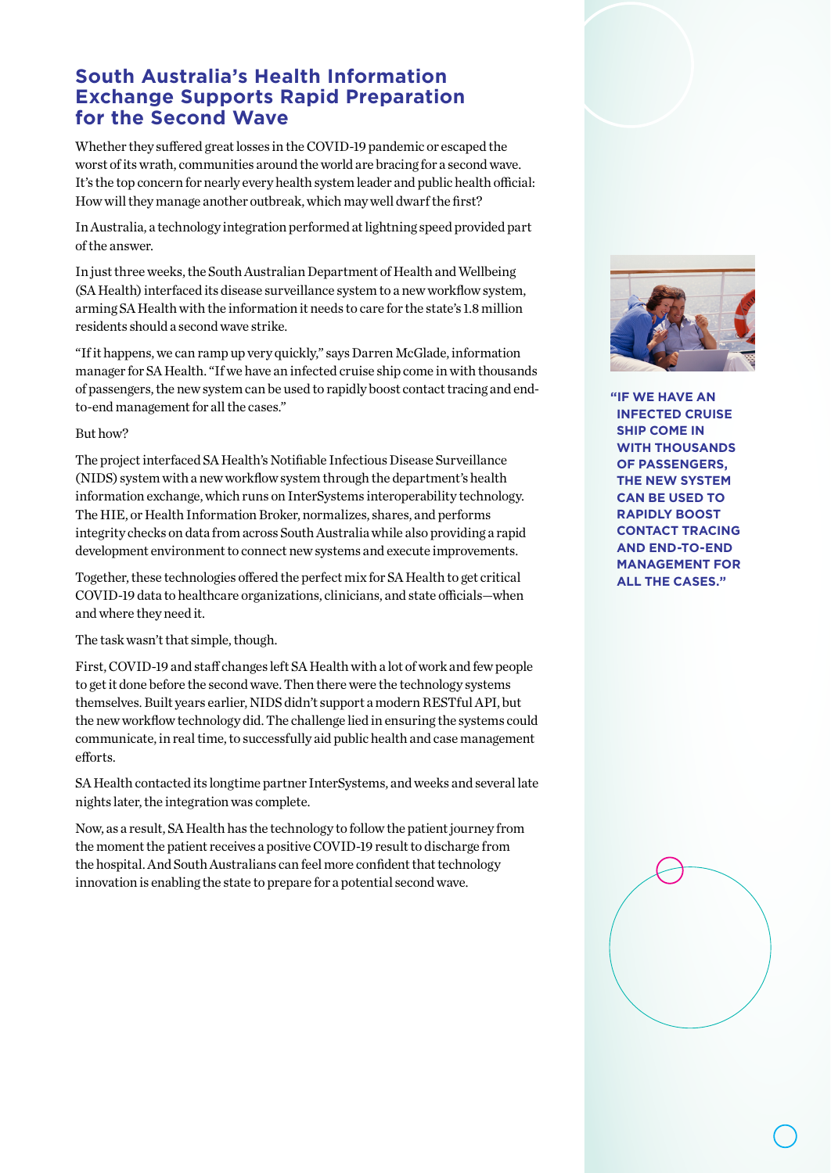# **South Australia's Health Information Exchange Supports Rapid Preparation for the Second Wave**

Whether they suffered great losses in the COVID-19 pandemic or escaped the worst of its wrath, communities around the world are bracing for a second wave. It's the top concern for nearly every health system leader and public health official: How will they manage another outbreak, which may well dwarf the first?

In Australia, a technology integration performed at lightning speed provided part of the answer.

In just three weeks, the South Australian Department of Health and Wellbeing (SA Health) interfaced its disease surveillance system to a new workflow system, arming SA Health with the information it needs to care for the state's 1.8 million residents should a second wave strike.

"If it happens, we can ramp up very quickly," says Darren McGlade, information manager for SA Health. "If we have an infected cruise ship come in with thousands of passengers, the new system can be used to rapidly boost contact tracing and endto-end management for all the cases."

### But how?

The project interfaced SA Health's Notifiable Infectious Disease Surveillance (NIDS) system with a new workflow system through the department's health information exchange, which runs on InterSystems interoperability technology. The HIE, or Health Information Broker, normalizes, shares, and performs integrity checks on data from across South Australia while also providing a rapid development environment to connect new systems and execute improvements.

Together, these technologies offered the perfect mix for SA Health to get critical COVID-19 data to healthcare organizations, clinicians, and state officials—when and where they need it.

### The task wasn't that simple, though.

First, COVID-19 and staff changes left SA Health with a lot of work and few people to get it done before the second wave. Then there were the technology systems themselves. Built years earlier, NIDS didn't support a modern RESTful API, but the new workflow technology did. The challenge lied in ensuring the systems could communicate, in real time, to successfully aid public health and case management efforts.

SA Health contacted its longtime partner InterSystems, and weeks and several late nights later, the integration was complete.

Now, as a result, SA Health has the technology to follow the patient journey from the moment the patient receives a positive COVID-19 result to discharge from the hospital. And South Australians can feel more confident that technology innovation is enabling the state to prepare for a potential second wave.



**"IF WE HAVE AN INFECTED CRUISE SHIP COME IN WITH THOUSANDS OF PASSENGERS, THE NEW SYSTEM CAN BE USED TO RAPIDLY BOOST CONTACT TRACING AND END-TO-END MANAGEMENT FOR ALL THE CASES."**

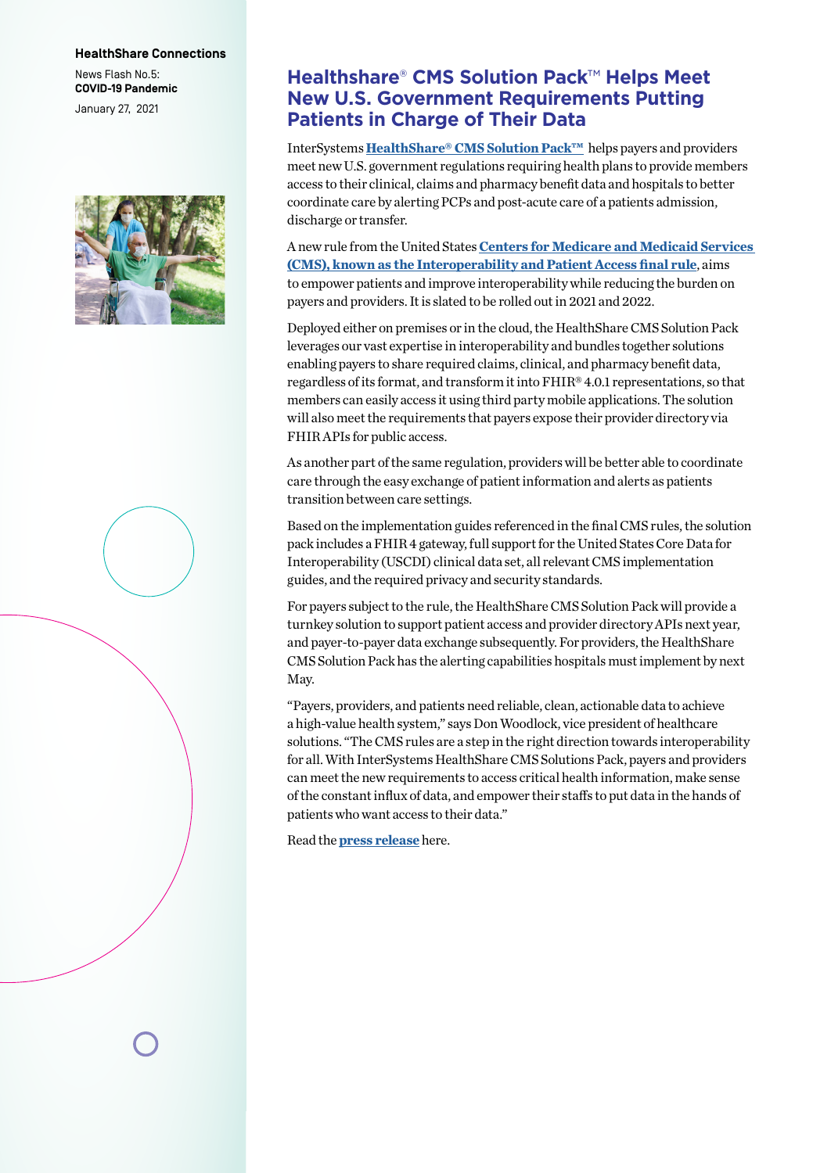#### **HealthShare Connections**

News Flash No.5: **COVID-19 Pandemic** January 27, 2021



## **Healthshare**® **CMS Solution Pack**™ **Helps Meet New U.S. Government Requirements Putting Patients in Charge of Their Data**

InterSystems **[HealthShare® CMS Solution Pack™](https://www.intersystems.com/resources/detail/intersystems-healthshare-cms-solution-pack-fact-sheet/)** helps payers and providers meet new U.S. government regulations requiring health plans to provide members access to their clinical, claims and pharmacy benefit data and hospitals to better coordinate care by alerting PCPs and post-acute care of a patients admission, discharge or transfer.

A new rule from the United States **[Centers for Medicare and Medicaid Services](https://www.cms.gov/Regulations-and-Guidance/Guidance/Interoperability/index)  [\(CMS\), known as the Interoperability and Patient Access final rule](https://www.cms.gov/Regulations-and-Guidance/Guidance/Interoperability/index)**, aims to empower patients and improve interoperability while reducing the burden on payers and providers. It is slated to be rolled out in 2021 and 2022.

Deployed either on premises or in the cloud, the HealthShare CMS Solution Pack leverages our vast expertise in interoperability and bundles together solutions enabling payers to share required claims, clinical, and pharmacy benefit data, regardless of its format, and transform it into FHIR® 4.0.1 representations, so that members can easily access it using third party mobile applications. The solution will also meet the requirements that payers expose their provider directory via FHIR APIs for public access.

As another part of the same regulation, providers will be better able to coordinate care through the easy exchange of patient information and alerts as patients transition between care settings.

Based on the implementation guides referenced in the final CMS rules, the solution pack includes a FHIR 4 gateway, full support for the United States Core Data for Interoperability (USCDI) clinical data set, all relevant CMS implementation guides, and the required privacy and security standards.

For payers subject to the rule, the HealthShare CMS Solution Pack will provide a turnkey solution to support patient access and provider directory APIs next year, and payer-to-payer data exchange subsequently. For providers, the HealthShare CMS Solution Pack has the alerting capabilities hospitals must implement by next May.

"Payers, providers, and patients need reliable, clean, actionable data to achieve a high-value health system," says Don Woodlock, vice president of healthcare solutions. "The CMS rules are a step in the right direction towards interoperability for all. With InterSystems HealthShare CMS Solutions Pack, payers and providers can meet the new requirements to access critical health information, make sense of the constant influx of data, and empower their staffs to put data in the hands of patients who want access to their data."

Read the **p[ress release](https://www.intersystems.com/news-events/news/news-item/intersystems-announces-healthshare-cms-solution-pack/)** here.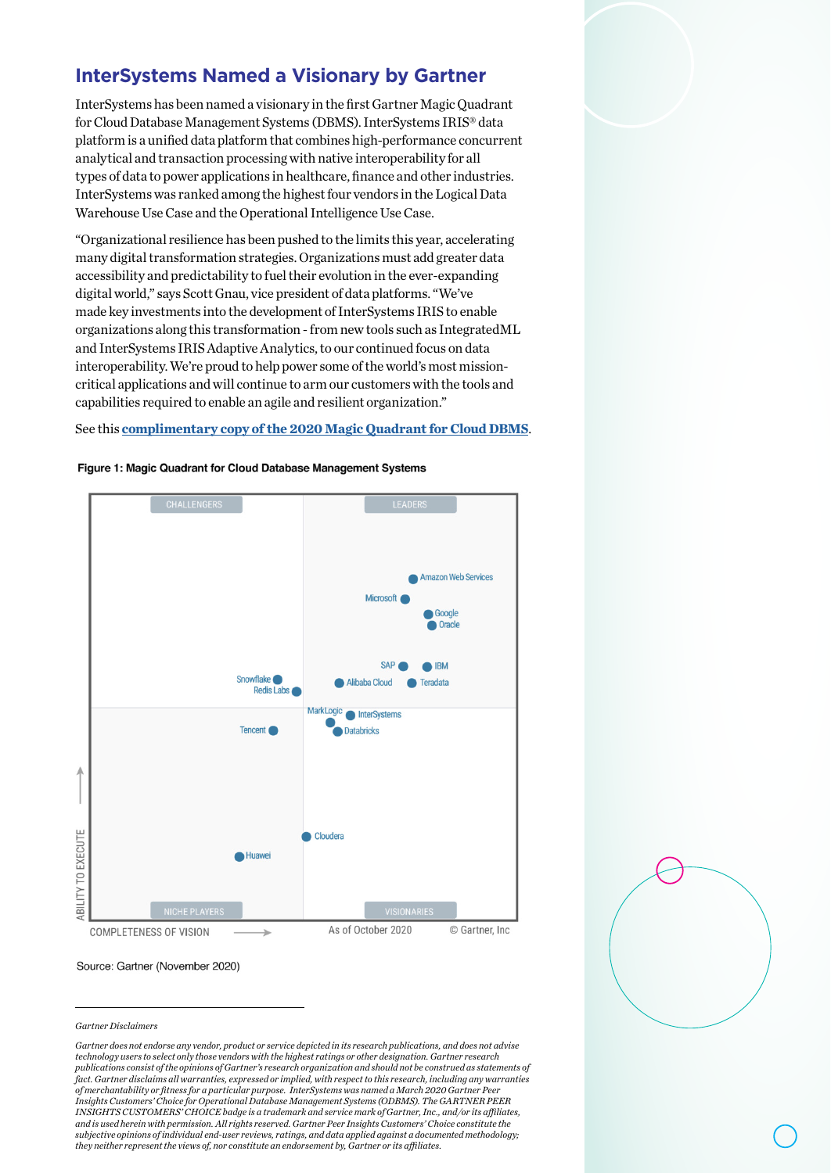# **InterSystems Named a Visionary by Gartner**

InterSystems has been named a visionary in the first Gartner Magic Quadrant for Cloud Database Management Systems (DBMS). InterSystems IRIS® data platform is a unified data platform that combines high-performance concurrent analytical and transaction processing with native interoperability for all types of data to power applications in healthcare, finance and other industries. InterSystems was ranked among the highest four vendors in the Logical Data Warehouse Use Case and the Operational Intelligence Use Case.

"Organizational resilience has been pushed to the limits this year, accelerating many digital transformation strategies. Organizations must add greater data accessibility and predictability to fuel their evolution in the ever-expanding digital world," says Scott Gnau, vice president of data platforms. "We've made key investments into the development of InterSystems IRIS to enable organizations along this transformation - from new tools such as IntegratedML and InterSystems IRIS Adaptive Analytics, to our continued focus on data interoperability. We're proud to help power some of the world's most missioncritical applications and will continue to arm our customers with the tools and capabilities required to enable an agile and resilient organization."

### See this **[complimentary copy of the 2020 Magic Quadrant for Cloud DBMS](https://www.gartner.com/doc/reprints?id=1-24NM3UP3&ct=201125&st=sb)**.

#### Figure 1: Magic Quadrant for Cloud Database Management Systems



#### Source: Gartner (November 2020)

#### *Gartner Disclaimers*

*Gartner does not endorse any vendor, product or service depicted in its research publications, and does not advise technology users to select only those vendors with the highest ratings or other designation. Gartner research publications consist of the opinions of Gartner's research organization and should not be construed as statements of fact. Gartner disclaims all warranties, expressed or implied, with respect to this research, including any warranties of merchantability or fitness for a particular purpose. InterSystems was named a March 2020 Gartner Peer Insights Customers' Choice for Operational Database Management Systems (ODBMS). The GARTNER PEER INSIGHTS CUSTOMERS' CHOICE badge is a trademark and service mark of Gartner, Inc., and/or its affiliates, and is used herein with permission. All rights reserved. Gartner Peer Insights Customers' Choice constitute the subjective opinions of individual end-user reviews, ratings, and data applied against a documented methodology; they neither represent the views of, nor constitute an endorsement by, Gartner or its affiliates.*

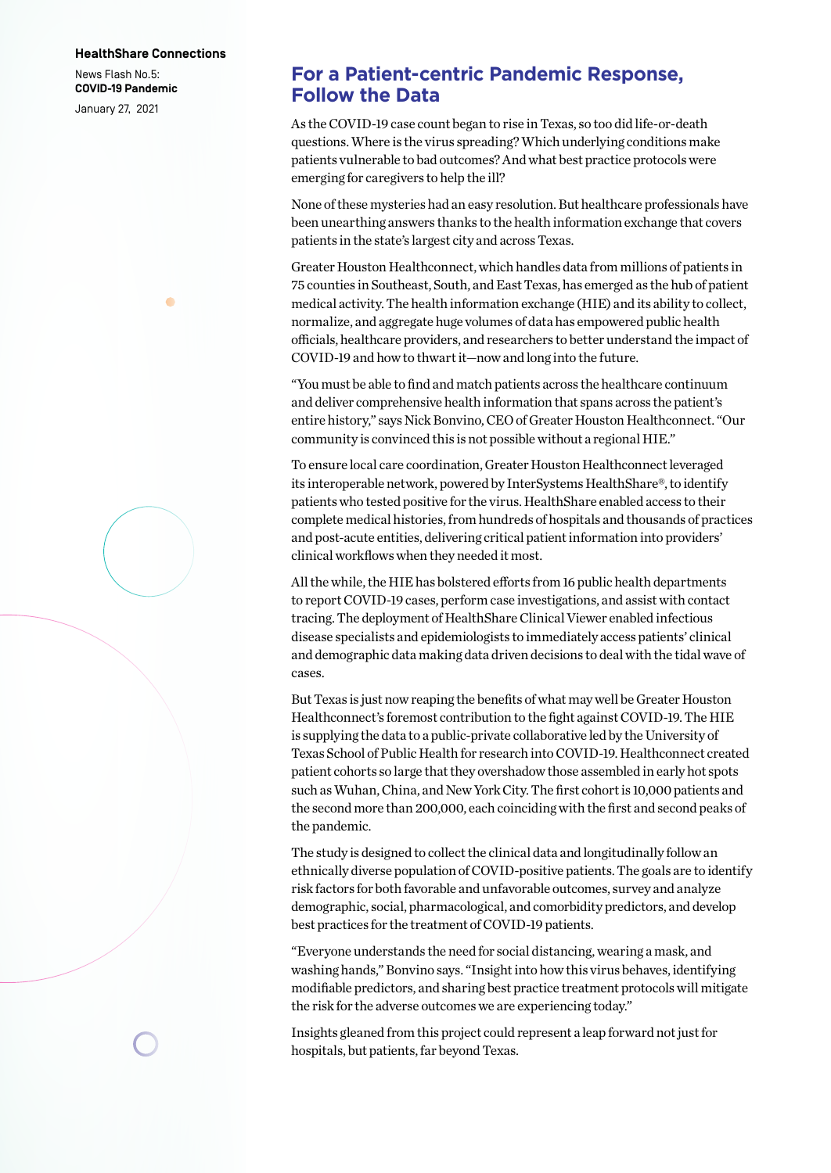#### **HealthShare Connections**

 $\blacksquare$ 

News Flash No.5: **COVID-19 Pandemic** January 27, 2021

## **For a Patient-centric Pandemic Response, Follow the Data**

As the COVID-19 case count began to rise in Texas, so too did life-or-death questions. Where is the virus spreading? Which underlying conditions make patients vulnerable to bad outcomes? And what best practice protocols were emerging for caregivers to help the ill?

None of these mysteries had an easy resolution. But healthcare professionals have been unearthing answers thanks to the health information exchange that covers patients in the state's largest city and across Texas.

Greater Houston Healthconnect, which handles data from millions of patients in 75 counties in Southeast, South, and East Texas, has emerged as the hub of patient medical activity. The health information exchange (HIE) and its ability to collect, normalize, and aggregate huge volumes of data has empowered public health officials, healthcare providers, and researchers to better understand the impact of COVID-19 and how to thwart it—now and long into the future.

"You must be able to find and match patients across the healthcare continuum and deliver comprehensive health information that spans across the patient's entire history," says Nick Bonvino, CEO of Greater Houston Healthconnect. "Our community is convinced this is not possible without a regional HIE."

To ensure local care coordination, Greater Houston Healthconnect leveraged its interoperable network, powered by InterSystems HealthShare®, to identify patients who tested positive for the virus. HealthShare enabled access to their complete medical histories, from hundreds of hospitals and thousands of practices and post-acute entities, delivering critical patient information into providers' clinical workflows when they needed it most.

All the while, the HIE has bolstered efforts from 16 public health departments to report COVID-19 cases, perform case investigations, and assist with contact tracing. The deployment of HealthShare Clinical Viewer enabled infectious disease specialists and epidemiologists to immediately access patients' clinical and demographic data making data driven decisions to deal with the tidal wave of cases.

But Texas is just now reaping the benefits of what may well be Greater Houston Healthconnect's foremost contribution to the fight against COVID-19. The HIE is supplying the data to a public-private collaborative led by the University of Texas School of Public Health for research into COVID-19. Healthconnect created patient cohorts so large that they overshadow those assembled in early hot spots such as Wuhan, China, and New York City. The first cohort is 10,000 patients and the second more than 200,000, each coinciding with the first and second peaks of the pandemic.

The study is designed to collect the clinical data and longitudinally follow an ethnically diverse population of COVID-positive patients. The goals are to identify risk factors for both favorable and unfavorable outcomes, survey and analyze demographic, social, pharmacological, and comorbidity predictors, and develop best practices for the treatment of COVID-19 patients.

"Everyone understands the need for social distancing, wearing a mask, and washing hands," Bonvino says. "Insight into how this virus behaves, identifying modifiable predictors, and sharing best practice treatment protocols will mitigate the risk for the adverse outcomes we are experiencing today."

Insights gleaned from this project could represent a leap forward not just for hospitals, but patients, far beyond Texas.